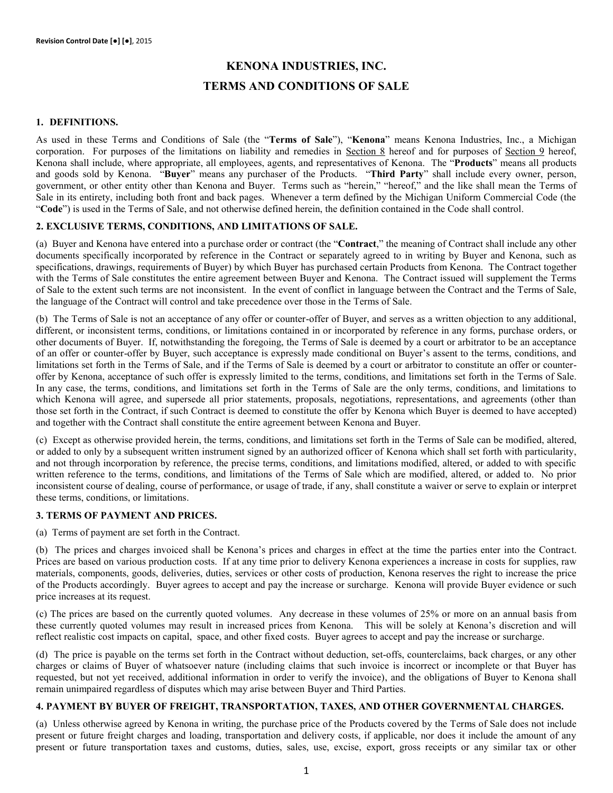# **KENONA INDUSTRIES, INC. TERMS AND CONDITIONS OF SALE**

#### **1. DEFINITIONS.**

As used in these Terms and Conditions of Sale (the "**Terms of Sale**"), "**Kenona**" means Kenona Industries, Inc., a Michigan corporation. For purposes of the limitations on liability and remedies in Section 8 hereof and for purposes of Section 9 hereof, Kenona shall include, where appropriate, all employees, agents, and representatives of Kenona. The "**Products**" means all products and goods sold by Kenona. "**Buyer**" means any purchaser of the Products. "**Third Party**" shall include every owner, person, government, or other entity other than Kenona and Buyer. Terms such as "herein," "hereof," and the like shall mean the Terms of Sale in its entirety, including both front and back pages. Whenever a term defined by the Michigan Uniform Commercial Code (the "**Code**") is used in the Terms of Sale, and not otherwise defined herein, the definition contained in the Code shall control.

# **2. EXCLUSIVE TERMS, CONDITIONS, AND LIMITATIONS OF SALE.**

(a) Buyer and Kenona have entered into a purchase order or contract (the "**Contract**," the meaning of Contract shall include any other documents specifically incorporated by reference in the Contract or separately agreed to in writing by Buyer and Kenona, such as specifications, drawings, requirements of Buyer) by which Buyer has purchased certain Products from Kenona. The Contract together with the Terms of Sale constitutes the entire agreement between Buyer and Kenona. The Contract issued will supplement the Terms of Sale to the extent such terms are not inconsistent. In the event of conflict in language between the Contract and the Terms of Sale, the language of the Contract will control and take precedence over those in the Terms of Sale.

(b) The Terms of Sale is not an acceptance of any offer or counter-offer of Buyer, and serves as a written objection to any additional, different, or inconsistent terms, conditions, or limitations contained in or incorporated by reference in any forms, purchase orders, or other documents of Buyer. If, notwithstanding the foregoing, the Terms of Sale is deemed by a court or arbitrator to be an acceptance of an offer or counter-offer by Buyer, such acceptance is expressly made conditional on Buyer's assent to the terms, conditions, and limitations set forth in the Terms of Sale, and if the Terms of Sale is deemed by a court or arbitrator to constitute an offer or counteroffer by Kenona, acceptance of such offer is expressly limited to the terms, conditions, and limitations set forth in the Terms of Sale. In any case, the terms, conditions, and limitations set forth in the Terms of Sale are the only terms, conditions, and limitations to which Kenona will agree, and supersede all prior statements, proposals, negotiations, representations, and agreements (other than those set forth in the Contract, if such Contract is deemed to constitute the offer by Kenona which Buyer is deemed to have accepted) and together with the Contract shall constitute the entire agreement between Kenona and Buyer.

(c) Except as otherwise provided herein, the terms, conditions, and limitations set forth in the Terms of Sale can be modified, altered, or added to only by a subsequent written instrument signed by an authorized officer of Kenona which shall set forth with particularity, and not through incorporation by reference, the precise terms, conditions, and limitations modified, altered, or added to with specific written reference to the terms, conditions, and limitations of the Terms of Sale which are modified, altered, or added to. No prior inconsistent course of dealing, course of performance, or usage of trade, if any, shall constitute a waiver or serve to explain or interpret these terms, conditions, or limitations.

#### **3. TERMS OF PAYMENT AND PRICES.**

(a) Terms of payment are set forth in the Contract.

(b) The prices and charges invoiced shall be Kenona's prices and charges in effect at the time the parties enter into the Contract. Prices are based on various production costs. If at any time prior to delivery Kenona experiences a increase in costs for supplies, raw materials, components, goods, deliveries, duties, services or other costs of production, Kenona reserves the right to increase the price of the Products accordingly. Buyer agrees to accept and pay the increase or surcharge. Kenona will provide Buyer evidence or such price increases at its request.

(c) The prices are based on the currently quoted volumes. Any decrease in these volumes of 25% or more on an annual basis from these currently quoted volumes may result in increased prices from Kenona. This will be solely at Kenona's discretion and will reflect realistic cost impacts on capital, space, and other fixed costs. Buyer agrees to accept and pay the increase or surcharge.

(d) The price is payable on the terms set forth in the Contract without deduction, set-offs, counterclaims, back charges, or any other charges or claims of Buyer of whatsoever nature (including claims that such invoice is incorrect or incomplete or that Buyer has requested, but not yet received, additional information in order to verify the invoice), and the obligations of Buyer to Kenona shall remain unimpaired regardless of disputes which may arise between Buyer and Third Parties.

#### **4. PAYMENT BY BUYER OF FREIGHT, TRANSPORTATION, TAXES, AND OTHER GOVERNMENTAL CHARGES.**

(a) Unless otherwise agreed by Kenona in writing, the purchase price of the Products covered by the Terms of Sale does not include present or future freight charges and loading, transportation and delivery costs, if applicable, nor does it include the amount of any present or future transportation taxes and customs, duties, sales, use, excise, export, gross receipts or any similar tax or other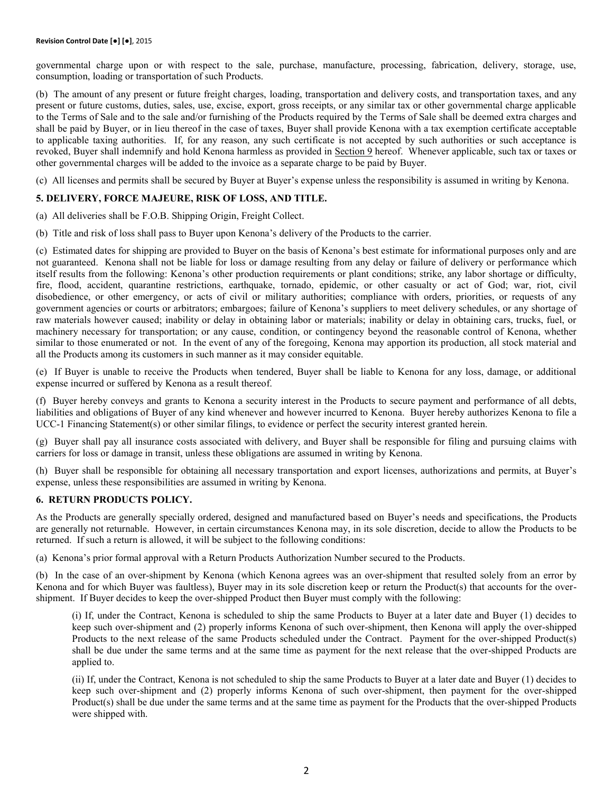governmental charge upon or with respect to the sale, purchase, manufacture, processing, fabrication, delivery, storage, use, consumption, loading or transportation of such Products.

(b) The amount of any present or future freight charges, loading, transportation and delivery costs, and transportation taxes, and any present or future customs, duties, sales, use, excise, export, gross receipts, or any similar tax or other governmental charge applicable to the Terms of Sale and to the sale and/or furnishing of the Products required by the Terms of Sale shall be deemed extra charges and shall be paid by Buyer, or in lieu thereof in the case of taxes, Buyer shall provide Kenona with a tax exemption certificate acceptable to applicable taxing authorities. If, for any reason, any such certificate is not accepted by such authorities or such acceptance is revoked, Buyer shall indemnify and hold Kenona harmless as provided in Section 9 hereof. Whenever applicable, such tax or taxes or other governmental charges will be added to the invoice as a separate charge to be paid by Buyer.

(c) All licenses and permits shall be secured by Buyer at Buyer's expense unless the responsibility is assumed in writing by Kenona.

# **5. DELIVERY, FORCE MAJEURE, RISK OF LOSS, AND TITLE.**

(a) All deliveries shall be F.O.B. Shipping Origin, Freight Collect.

(b) Title and risk of loss shall pass to Buyer upon Kenona's delivery of the Products to the carrier.

(c) Estimated dates for shipping are provided to Buyer on the basis of Kenona's best estimate for informational purposes only and are not guaranteed. Kenona shall not be liable for loss or damage resulting from any delay or failure of delivery or performance which itself results from the following: Kenona's other production requirements or plant conditions; strike, any labor shortage or difficulty, fire, flood, accident, quarantine restrictions, earthquake, tornado, epidemic, or other casualty or act of God; war, riot, civil disobedience, or other emergency, or acts of civil or military authorities; compliance with orders, priorities, or requests of any government agencies or courts or arbitrators; embargoes; failure of Kenona's suppliers to meet delivery schedules, or any shortage of raw materials however caused; inability or delay in obtaining labor or materials; inability or delay in obtaining cars, trucks, fuel, or machinery necessary for transportation; or any cause, condition, or contingency beyond the reasonable control of Kenona, whether similar to those enumerated or not. In the event of any of the foregoing, Kenona may apportion its production, all stock material and all the Products among its customers in such manner as it may consider equitable.

(e) If Buyer is unable to receive the Products when tendered, Buyer shall be liable to Kenona for any loss, damage, or additional expense incurred or suffered by Kenona as a result thereof.

(f) Buyer hereby conveys and grants to Kenona a security interest in the Products to secure payment and performance of all debts, liabilities and obligations of Buyer of any kind whenever and however incurred to Kenona. Buyer hereby authorizes Kenona to file a UCC-1 Financing Statement(s) or other similar filings, to evidence or perfect the security interest granted herein.

(g) Buyer shall pay all insurance costs associated with delivery, and Buyer shall be responsible for filing and pursuing claims with carriers for loss or damage in transit, unless these obligations are assumed in writing by Kenona.

(h) Buyer shall be responsible for obtaining all necessary transportation and export licenses, authorizations and permits, at Buyer's expense, unless these responsibilities are assumed in writing by Kenona.

#### **6. RETURN PRODUCTS POLICY.**

As the Products are generally specially ordered, designed and manufactured based on Buyer's needs and specifications, the Products are generally not returnable. However, in certain circumstances Kenona may, in its sole discretion, decide to allow the Products to be returned. If such a return is allowed, it will be subject to the following conditions:

(a) Kenona's prior formal approval with a Return Products Authorization Number secured to the Products.

(b) In the case of an over-shipment by Kenona (which Kenona agrees was an over-shipment that resulted solely from an error by Kenona and for which Buyer was faultless), Buyer may in its sole discretion keep or return the Product(s) that accounts for the overshipment. If Buyer decides to keep the over-shipped Product then Buyer must comply with the following:

(i) If, under the Contract, Kenona is scheduled to ship the same Products to Buyer at a later date and Buyer (1) decides to keep such over-shipment and (2) properly informs Kenona of such over-shipment, then Kenona will apply the over-shipped Products to the next release of the same Products scheduled under the Contract. Payment for the over-shipped Product(s) shall be due under the same terms and at the same time as payment for the next release that the over-shipped Products are applied to.

(ii) If, under the Contract, Kenona is not scheduled to ship the same Products to Buyer at a later date and Buyer (1) decides to keep such over-shipment and (2) properly informs Kenona of such over-shipment, then payment for the over-shipped Product(s) shall be due under the same terms and at the same time as payment for the Products that the over-shipped Products were shipped with.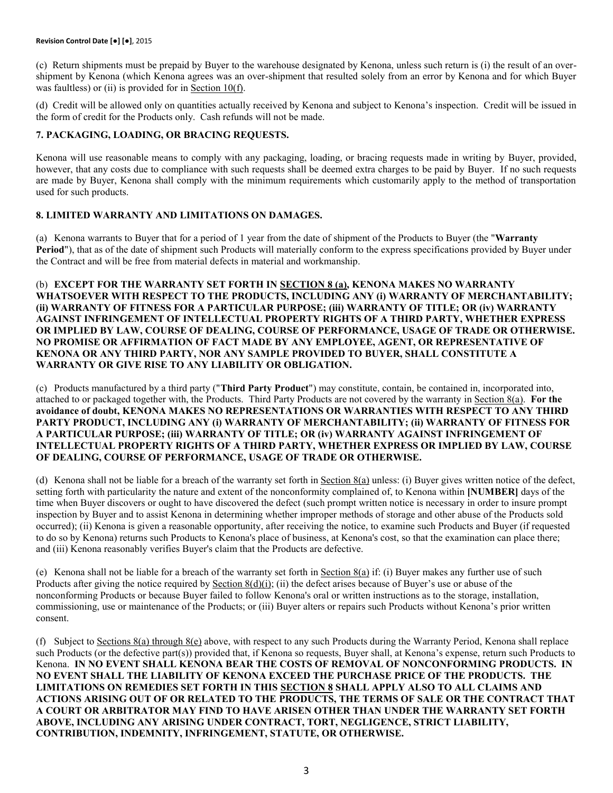(c) Return shipments must be prepaid by Buyer to the warehouse designated by Kenona, unless such return is (i) the result of an overshipment by Kenona (which Kenona agrees was an over-shipment that resulted solely from an error by Kenona and for which Buyer was faultless) or (ii) is provided for in Section 10(f).

(d) Credit will be allowed only on quantities actually received by Kenona and subject to Kenona's inspection. Credit will be issued in the form of credit for the Products only. Cash refunds will not be made.

# **7. PACKAGING, LOADING, OR BRACING REQUESTS.**

Kenona will use reasonable means to comply with any packaging, loading, or bracing requests made in writing by Buyer, provided, however, that any costs due to compliance with such requests shall be deemed extra charges to be paid by Buyer. If no such requests are made by Buyer, Kenona shall comply with the minimum requirements which customarily apply to the method of transportation used for such products.

# **8. LIMITED WARRANTY AND LIMITATIONS ON DAMAGES.**

(a) Kenona warrants to Buyer that for a period of 1 year from the date of shipment of the Products to Buyer (the "**Warranty Period**"), that as of the date of shipment such Products will materially conform to the express specifications provided by Buyer under the Contract and will be free from material defects in material and workmanship.

(b) **EXCEPT FOR THE WARRANTY SET FORTH IN SECTION 8 (a), KENONA MAKES NO WARRANTY WHATSOEVER WITH RESPECT TO THE PRODUCTS, INCLUDING ANY (i) WARRANTY OF MERCHANTABILITY; (ii) WARRANTY OF FITNESS FOR A PARTICULAR PURPOSE; (iii) WARRANTY OF TITLE; OR (iv) WARRANTY AGAINST INFRINGEMENT OF INTELLECTUAL PROPERTY RIGHTS OF A THIRD PARTY, WHETHER EXPRESS OR IMPLIED BY LAW, COURSE OF DEALING, COURSE OF PERFORMANCE, USAGE OF TRADE OR OTHERWISE. NO PROMISE OR AFFIRMATION OF FACT MADE BY ANY EMPLOYEE, AGENT, OR REPRESENTATIVE OF KENONA OR ANY THIRD PARTY, NOR ANY SAMPLE PROVIDED TO BUYER, SHALL CONSTITUTE A WARRANTY OR GIVE RISE TO ANY LIABILITY OR OBLIGATION.**

(c) Products manufactured by a third party ("**Third Party Product**") may constitute, contain, be contained in, incorporated into, attached to or packaged together with, the Products. Third Party Products are not covered by the warranty in Section 8(a). **For the avoidance of doubt, KENONA MAKES NO REPRESENTATIONS OR WARRANTIES WITH RESPECT TO ANY THIRD PARTY PRODUCT, INCLUDING ANY (i) WARRANTY OF MERCHANTABILITY; (ii) WARRANTY OF FITNESS FOR A PARTICULAR PURPOSE; (iii) WARRANTY OF TITLE; OR (iv) WARRANTY AGAINST INFRINGEMENT OF INTELLECTUAL PROPERTY RIGHTS OF A THIRD PARTY, WHETHER EXPRESS OR IMPLIED BY LAW, COURSE OF DEALING, COURSE OF PERFORMANCE, USAGE OF TRADE OR OTHERWISE.**

(d) Kenona shall not be liable for a breach of the warranty set forth in Section 8(a) unless: (i) Buyer gives written notice of the defect, setting forth with particularity the nature and extent of the nonconformity complained of, to Kenona within **[NUMBER]** days of the time when Buyer discovers or ought to have discovered the defect (such prompt written notice is necessary in order to insure prompt inspection by Buyer and to assist Kenona in determining whether improper methods of storage and other abuse of the Products sold occurred); (ii) Kenona is given a reasonable opportunity, after receiving the notice, to examine such Products and Buyer (if requested to do so by Kenona) returns such Products to Kenona's place of business, at Kenona's cost, so that the examination can place there; and (iii) Kenona reasonably verifies Buyer's claim that the Products are defective.

(e) Kenona shall not be liable for a breach of the warranty set forth in Section  $8(a)$  if: (i) Buyer makes any further use of such Products after giving the notice required by Section  $8(d)(i)$ ; (ii) the defect arises because of Buyer's use or abuse of the nonconforming Products or because Buyer failed to follow Kenona's oral or written instructions as to the storage, installation, commissioning, use or maintenance of the Products; or (iii) Buyer alters or repairs such Products without Kenona's prior written consent.

(f) Subject to Sections  $8(a)$  through  $8(e)$  above, with respect to any such Products during the Warranty Period, Kenona shall replace such Products (or the defective part(s)) provided that, if Kenona so requests, Buyer shall, at Kenona's expense, return such Products to Kenona. **IN NO EVENT SHALL KENONA BEAR THE COSTS OF REMOVAL OF NONCONFORMING PRODUCTS. IN NO EVENT SHALL THE LIABILITY OF KENONA EXCEED THE PURCHASE PRICE OF THE PRODUCTS. THE LIMITATIONS ON REMEDIES SET FORTH IN THIS SECTION 8 SHALL APPLY ALSO TO ALL CLAIMS AND ACTIONS ARISING OUT OF OR RELATED TO THE PRODUCTS, THE TERMS OF SALE OR THE CONTRACT THAT A COURT OR ARBITRATOR MAY FIND TO HAVE ARISEN OTHER THAN UNDER THE WARRANTY SET FORTH ABOVE, INCLUDING ANY ARISING UNDER CONTRACT, TORT, NEGLIGENCE, STRICT LIABILITY, CONTRIBUTION, INDEMNITY, INFRINGEMENT, STATUTE, OR OTHERWISE.**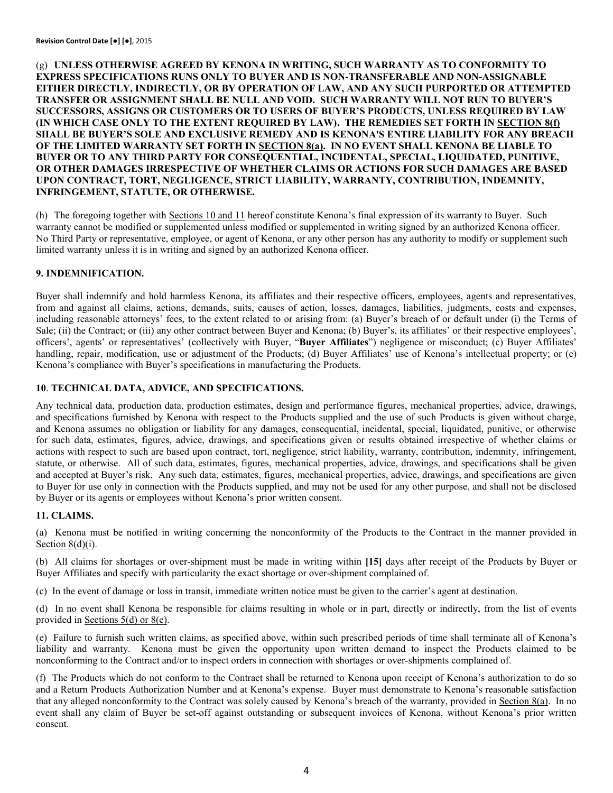(g) **UNLESS OTHERWISE AGREED BY KENONA IN WRITING, SUCH WARRANTY AS TO CONFORMITY TO EXPRESS SPECIFICATIONS RUNS ONLY TO BUYER AND IS NON-TRANSFERABLE AND NON-ASSIGNABLE EITHER DIRECTLY, INDIRECTLY, OR BY OPERATION OF LAW, AND ANY SUCH PURPORTED OR ATTEMPTED TRANSFER OR ASSIGNMENT SHALL BE NULL AND VOID. SUCH WARRANTY WILL NOT RUN TO BUYER'S SUCCESSORS, ASSIGNS OR CUSTOMERS OR TO USERS OF BUYER'S PRODUCTS, UNLESS REQUIRED BY LAW (IN WHICH CASE ONLY TO THE EXTENT REQUIRED BY LAW). THE REMEDIES SET FORTH IN SECTION 8(f) SHALL BE BUYER'S SOLE AND EXCLUSIVE REMEDY AND IS KENONA'S ENTIRE LIABILITY FOR ANY BREACH OF THE LIMITED WARRANTY SET FORTH IN SECTION 8(a). IN NO EVENT SHALL KENONA BE LIABLE TO BUYER OR TO ANY THIRD PARTY FOR CONSEQUENTIAL, INCIDENTAL, SPECIAL, LIQUIDATED, PUNITIVE, OR OTHER DAMAGES IRRESPECTIVE OF WHETHER CLAIMS OR ACTIONS FOR SUCH DAMAGES ARE BASED UPON CONTRACT, TORT, NEGLIGENCE, STRICT LIABILITY, WARRANTY, CONTRIBUTION, INDEMNITY, INFRINGEMENT, STATUTE, OR OTHERWISE.**

(h) The foregoing together with Sections 10 and 11 hereof constitute Kenona's final expression of its warranty to Buyer. Such warranty cannot be modified or supplemented unless modified or supplemented in writing signed by an authorized Kenona officer. No Third Party or representative, employee, or agent of Kenona, or any other person has any authority to modify or supplement such limited warranty unless it is in writing and signed by an authorized Kenona officer.

## **9. INDEMNIFICATION.**

Buyer shall indemnify and hold harmless Kenona, its affiliates and their respective officers, employees, agents and representatives, from and against all claims, actions, demands, suits, causes of action, losses, damages, liabilities, judgments, costs and expenses, including reasonable attorneys' fees, to the extent related to or arising from: (a) Buyer's breach of or default under (i) the Terms of Sale; (ii) the Contract; or (iii) any other contract between Buyer and Kenona; (b) Buyer's, its affiliates' or their respective employees', officers', agents' or representatives' (collectively with Buyer, "**Buyer Affiliates**") negligence or misconduct; (c) Buyer Affiliates' handling, repair, modification, use or adjustment of the Products; (d) Buyer Affiliates' use of Kenona's intellectual property; or (e) Kenona's compliance with Buyer's specifications in manufacturing the Products.

#### **10**. **TECHNICAL DATA, ADVICE, AND SPECIFICATIONS.**

Any technical data, production data, production estimates, design and performance figures, mechanical properties, advice, drawings, and specifications furnished by Kenona with respect to the Products supplied and the use of such Products is given without charge, and Kenona assumes no obligation or liability for any damages, consequential, incidental, special, liquidated, punitive, or otherwise for such data, estimates, figures, advice, drawings, and specifications given or results obtained irrespective of whether claims or actions with respect to such are based upon contract, tort, negligence, strict liability, warranty, contribution, indemnity, infringement, statute, or otherwise. All of such data, estimates, figures, mechanical properties, advice, drawings, and specifications shall be given and accepted at Buyer's risk. Any such data, estimates, figures, mechanical properties, advice, drawings, and specifications are given to Buyer for use only in connection with the Products supplied, and may not be used for any other purpose, and shall not be disclosed by Buyer or its agents or employees without Kenona's prior written consent.

#### **11. CLAIMS.**

(a) Kenona must be notified in writing concerning the nonconformity of the Products to the Contract in the manner provided in Section 8(d)(i).

(b) All claims for shortages or over-shipment must be made in writing within **[15]** days after receipt of the Products by Buyer or Buyer Affiliates and specify with particularity the exact shortage or over-shipment complained of.

(c) In the event of damage or loss in transit, immediate written notice must be given to the carrier's agent at destination.

(d) In no event shall Kenona be responsible for claims resulting in whole or in part, directly or indirectly, from the list of events provided in Sections 5(d) or 8(e).

(e) Failure to furnish such written claims, as specified above, within such prescribed periods of time shall terminate all of Kenona's liability and warranty. Kenona must be given the opportunity upon written demand to inspect the Products claimed to be nonconforming to the Contract and/or to inspect orders in connection with shortages or over-shipments complained of.

(f) The Products which do not conform to the Contract shall be returned to Kenona upon receipt of Kenona's authorization to do so and a Return Products Authorization Number and at Kenona's expense. Buyer must demonstrate to Kenona's reasonable satisfaction that any alleged nonconformity to the Contract was solely caused by Kenona's breach of the warranty, provided in Section 8(a). In no event shall any claim of Buyer be set-off against outstanding or subsequent invoices of Kenona, without Kenona's prior written consent.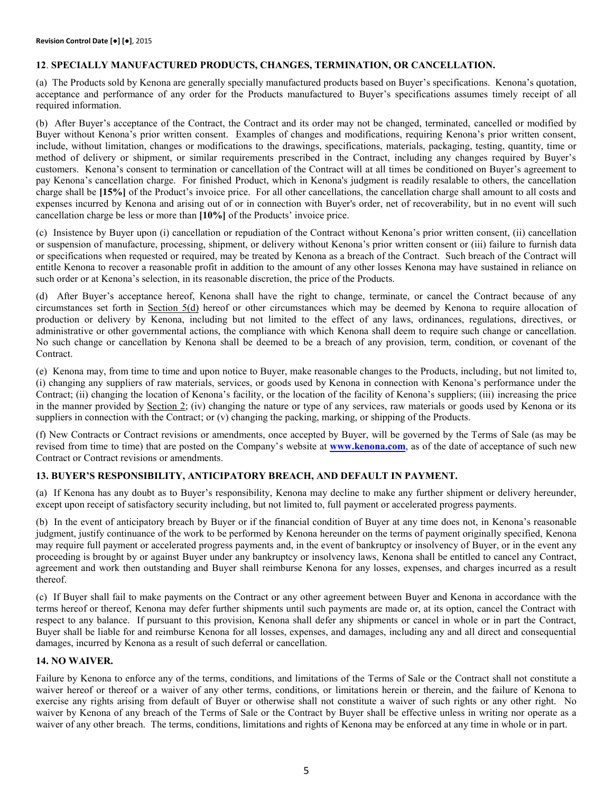## **12**. **SPECIALLY MANUFACTURED PRODUCTS, CHANGES, TERMINATION, OR CANCELLATION.**

(a) The Products sold by Kenona are generally specially manufactured products based on Buyer's specifications. Kenona's quotation, acceptance and performance of any order for the Products manufactured to Buyer's specifications assumes timely receipt of all required information.

(b) After Buyer's acceptance of the Contract, the Contract and its order may not be changed, terminated, cancelled or modified by Buyer without Kenona's prior written consent. Examples of changes and modifications, requiring Kenona's prior written consent, include, without limitation, changes or modifications to the drawings, specifications, materials, packaging, testing, quantity, time or method of delivery or shipment, or similar requirements prescribed in the Contract, including any changes required by Buyer's customers. Kenona's consent to termination or cancellation of the Contract will at all times be conditioned on Buyer's agreement to pay Kenona's cancellation charge. For finished Product, which in Kenona's judgment is readily resalable to others, the cancellation charge shall be **[15%]** of the Product's invoice price. For all other cancellations, the cancellation charge shall amount to all costs and expenses incurred by Kenona and arising out of or in connection with Buyer's order, net of recoverability, but in no event will such cancellation charge be less or more than **[10%]** of the Products' invoice price.

(c) Insistence by Buyer upon (i) cancellation or repudiation of the Contract without Kenona's prior written consent, (ii) cancellation or suspension of manufacture, processing, shipment, or delivery without Kenona's prior written consent or (iii) failure to furnish data or specifications when requested or required, may be treated by Kenona as a breach of the Contract. Such breach of the Contract will entitle Kenona to recover a reasonable profit in addition to the amount of any other losses Kenona may have sustained in reliance on such order or at Kenona's selection, in its reasonable discretion, the price of the Products.

(d) After Buyer's acceptance hereof, Kenona shall have the right to change, terminate, or cancel the Contract because of any circumstances set forth in Section 5(d) hereof or other circumstances which may be deemed by Kenona to require allocation of production or delivery by Kenona, including but not limited to the effect of any laws, ordinances, regulations, directives, or administrative or other governmental actions, the compliance with which Kenona shall deem to require such change or cancellation. No such change or cancellation by Kenona shall be deemed to be a breach of any provision, term, condition, or covenant of the Contract.

(e) Kenona may, from time to time and upon notice to Buyer, make reasonable changes to the Products, including, but not limited to, (i) changing any suppliers of raw materials, services, or goods used by Kenona in connection with Kenona's performance under the Contract; (ii) changing the location of Kenona's facility, or the location of the facility of Kenona's suppliers; (iii) increasing the price in the manner provided by Section 2; (iv) changing the nature or type of any services, raw materials or goods used by Kenona or its suppliers in connection with the Contract; or (v) changing the packing, marking, or shipping of the Products.

(f) New Contracts or Contract revisions or amendments, once accepted by Buyer, will be governed by the Terms of Sale (as may be revised from time to time) that are posted on the Company's website at **[www.kenona.com](http://www.kenona.com/)**, as of the date of acceptance of such new Contract or Contract revisions or amendments.

# **13. BUYER'S RESPONSIBILITY, ANTICIPATORY BREACH, AND DEFAULT IN PAYMENT.**

(a) If Kenona has any doubt as to Buyer's responsibility, Kenona may decline to make any further shipment or delivery hereunder, except upon receipt of satisfactory security including, but not limited to, full payment or accelerated progress payments.

(b) In the event of anticipatory breach by Buyer or if the financial condition of Buyer at any time does not, in Kenona's reasonable judgment, justify continuance of the work to be performed by Kenona hereunder on the terms of payment originally specified, Kenona may require full payment or accelerated progress payments and, in the event of bankruptcy or insolvency of Buyer, or in the event any proceeding is brought by or against Buyer under any bankruptcy or insolvency laws, Kenona shall be entitled to cancel any Contract, agreement and work then outstanding and Buyer shall reimburse Kenona for any losses, expenses, and charges incurred as a result thereof.

(c) If Buyer shall fail to make payments on the Contract or any other agreement between Buyer and Kenona in accordance with the terms hereof or thereof, Kenona may defer further shipments until such payments are made or, at its option, cancel the Contract with respect to any balance. If pursuant to this provision, Kenona shall defer any shipments or cancel in whole or in part the Contract, Buyer shall be liable for and reimburse Kenona for all losses, expenses, and damages, including any and all direct and consequential damages, incurred by Kenona as a result of such deferral or cancellation.

## **14. NO WAIVER.**

Failure by Kenona to enforce any of the terms, conditions, and limitations of the Terms of Sale or the Contract shall not constitute a waiver hereof or thereof or a waiver of any other terms, conditions, or limitations herein or therein, and the failure of Kenona to exercise any rights arising from default of Buyer or otherwise shall not constitute a waiver of such rights or any other right. No waiver by Kenona of any breach of the Terms of Sale or the Contract by Buyer shall be effective unless in writing nor operate as a waiver of any other breach. The terms, conditions, limitations and rights of Kenona may be enforced at any time in whole or in part.